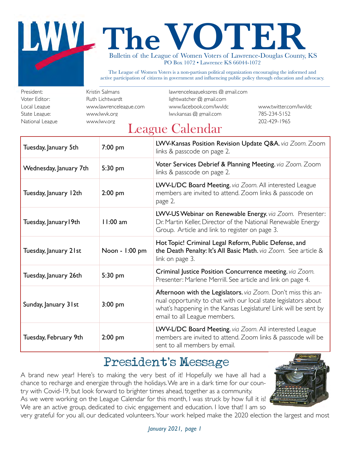# **The Media School of the League of Women Voters of Lawrence-Douglas County** Bulletin of the League of Women Voters of Lawrence-Douglas County, KS PO Box 1072 • Lawrence KS 66044-1072

The League of Women Voters is a non-partisan political organization encouraging the informed and active participation of citizens in government and influencing public policy through education and advocacy.

National League [www.lwv.org](http://www.lwv.org) 202-429-1965

President: Kristin Salmans lawrenceleaguekspres @ gmail.com Voter Editor: Ruth Lichtwardt lightwatcher @ gmail.com Local League [www.lawrenceleague.com](http://www.lawrenceleague.com) [www.facebook.com/lwvldc](http://www.facebook.com/lwvldc) [www.twitter.com/lwvldc](http://www.twitter.com/lwvldc) State League: [www.lwvk.org](http://www.lwvk.org) lwv.kansas @ gmail.com 785-234-5152

# League Calendar

| Tuesday, January 5th   | 7:00 pm        | LWV-Kansas Position Revision Update Q&A. via Zoom. Zoom<br>links & passcode on page 2.                                                                                                                                               |
|------------------------|----------------|--------------------------------------------------------------------------------------------------------------------------------------------------------------------------------------------------------------------------------------|
| Wednesday, January 7th | $5:30$ pm      | Voter Services Debrief & Planning Meeting. via Zoom. Zoom<br>links & passcode on page 2.                                                                                                                                             |
| Tuesday, January 12th  | $2:00$ pm      | LWV-L/DC Board Meeting. via Zoom. All interested League<br>members are invited to attend. Zoom links & passcode on<br>page 2.                                                                                                        |
| Tuesday, January 19th  | $11:00$ am     | LWV-US Webinar on Renewable Energy. via Zoom. Presenter:<br>Dr. Martin Keller, Director of the National Renewable Energy<br>Group. Article and link to register on page 3.                                                           |
| Tuesday, January 21st  | Noon - 1:00 pm | Hot Topic! Criminal Legal Reform, Public Defense, and<br>the Death Penalty: It's All Basic Math. via Zoom. See article &<br>link on page 3.                                                                                          |
| Tuesday, January 26th  | 5:30 pm        | Criminal Justice Position Concurrence meeting. via Zoom.<br>Presenter: Marlene Merrill. See article and link on page 4.                                                                                                              |
| Sunday, January 31st   | $3:00$ pm      | Afternoon with the Legislators. via Zoom. Don't miss this an-<br>nual opportunity to chat with our local state legislators about<br>what's happening in the Kansas Legislature! Link will be sent by<br>email to all League members. |
| Tuesday, February 9th  | $2:00$ pm      | LWV-L/DC Board Meeting. via Zoom. All interested League<br>members are invited to attend. Zoom links & passcode will be<br>sent to all members by email.                                                                             |

# President's Message

A brand new year! Here's to making the very best of it! Hopefully we have all had a chance to recharge and energize through the holidays. We are in a dark time for our country with Covid-19, but look forward to brighter times ahead, together as a community. As we were working on the League Calendar for this month, I was struck by how full it is! We are an active group, dedicated to civic engagement and education. I love that! I am so



very grateful for you all, our dedicated volunteers. Your work helped make the 2020 election the largest and most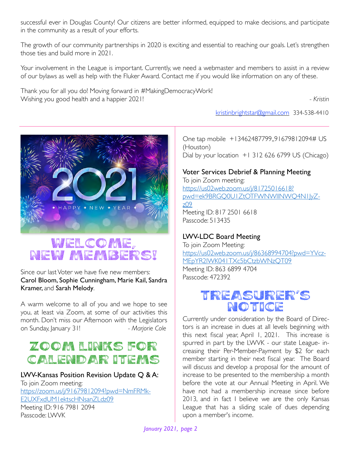successful ever in Douglas County! Our citizens are better informed, equipped to make decisions, and participate in the community as a result of your efforts.

The growth of our community partnerships in 2020 is exciting and essential to reaching our goals. Let's strengthen those ties and build more in 2021.

Your involvement in the League is important. Currently, we need a webmaster and members to assist in a review of our bylaws as well as help with the Fluker Award. Contact me if you would like information on any of these.

Thank you for all you do! Moving forward in #MakingDemocracyWork! Wishing you good health and a happier 2021!

[kristinbrightstar@gmail.com](mailto:kristinbrightstar@gmail.com) 334-538-4410



# **WELCOME** NEW MEMBERS!

Since our last Voter we have five new members: Carol Bloom, Sophie Cunningham, Marie Kail, Sandra Kramer, and Sarah Melody.

A warm welcome to all of you and we hope to see you, at least via Zoom, at some of our activities this month. Don't miss our Afternoon with the Legislators on Sunday, January 31! *- Marjorie Cole* 

# Zoom Alineks for the CALENDAR ITEMS

#### LWV-Kansas Position Revision Update Q & A:

To join Zoom meeting: [https://zoom.us/j/91679812094?pwd=NmFRMk-](https://zoom.us/j/91679812094?pwd=NmFRMkE2UXFxdUM1ektscHNsanZLdz09)[E2UXFxdUM1ektscHNsanZLdz09](https://zoom.us/j/91679812094?pwd=NmFRMkE2UXFxdUM1ektscHNsanZLdz09) Meeting ID: 916 7981 2094 Passcode: LWVK

One tap mobile +13462487799,,91679812094# US (Houston) Dial by your location +1 312 626 6799 US (Chicago)

#### Voter Services Debrief & Planning Meeting

To join Zoom meeting: [https://us02web.zoom.us/j/81725016618?](https://us02web.zoom.us/j/81725016618?pwd=ek9BRGQ0U1ZtOTFWNWllNWQ4N1JyZz09) [pwd=ek9BRGQ0U1ZtOTFWNWllNWQ4N1JyZ](https://us02web.zoom.us/j/81725016618?pwd=ek9BRGQ0U1ZtOTFWNWllNWQ4N1JyZz09)[z09](https://us02web.zoom.us/j/81725016618?pwd=ek9BRGQ0U1ZtOTFWNWllNWQ4N1JyZz09) Meeting ID: 817 2501 6618 Passcode: 513435

#### LWV-LDC Board Meeting

To join Zoom Meeting: [https://us02web.zoom.us/j/86368994704?pwd=YVcz-](https://us02web.zoom.us/j/86368994704?pwd=YVczMEpYR2lWK041TXc5bCtzbWNzQT09)[MEpYR2lWK041TXc5bCtzbWNzQT09](https://us02web.zoom.us/j/86368994704?pwd=YVczMEpYR2lWK041TXc5bCtzbWNzQT09) Meeting ID: 863 6899 4704 Passcode: 472392



Currently under consideration by the Board of Directors is an increase in dues at all levels beginning with this next fiscal year, April 1, 2021. This increase is spurred in part by the LWVK - our state League- increasing their Per-Member-Payment by \$2 for each member starting in their next fiscal year. The Board will discuss and develop a proposal for the amount of increase to be presented to the membership a month before the vote at our Annual Meeting in April. We have not had a membership increase since before 2013, and in fact I believe we are the only Kansas League that has a sliding scale of dues depending upon a member's income.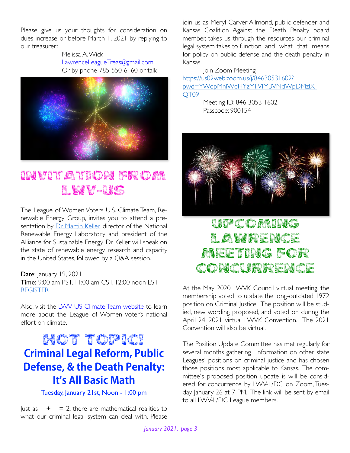Please give us your thoughts for consideration on dues increase or before March 1, 2021 by replying to our treasurer:

> Melissa A. Wick [LawrenceLeagueTreas@gmail.com](mailto:LawrenceLeagueTreas@gmail.com) Or by phone 785-550-6160 or talk



# Invitation from the second of the second second second second second second second second second second second LUXV-USS

The League of Women Voters U.S. Climate Team, Renewable Energy Group, invites you to attend a presentation by *Dr Martin Keller*, director of the National Renewable Energy Laboratory and president of the Alliance for Sustainable Energy. Dr. Keller will speak on the state of renewable energy research and capacity in the United States, followed by a Q&A session.

Date: January 19, 2021 Time: 9:00 am PST, 11:00 am CST, 12:00 noon EST [REGISTER](https://nam10.safelinks.protection.outlook.com/?url=https%253A%252F%252Fattendee.gotowebinar.com%252Fregister%252F7483994530844944908&data=04%257C01%257C%257Cebdf6fd26cdc45ef019008d88d7beec2%257C90befbfe6dce4edfba8a35fb67131124%257C0%257C1%257C637414910727092569%257CUnknown%257CTWFpbGZsb3d8eyJWIjoiMC4wLjAwMDAiLCJQIjoiV2luMzIiLCJBTiI6Ik1haWwiLCJXVCI6Mn0%253D%257C0&sdata=FOnrmt%252FST%252FvX3GR%252FvxbwkmY8UFtnsYfh8zNQKYOSIa8%253D&reserved=0)

Also, visit the [LWV US Climate Team website](https://lwvc.org/lwv-us-climate-teams) to learn more about the League of Women Voter's national effort on climate.

### Head was the street **Criminal Legal Reform, Public Defense, & the Death Penalty: It's All Basic Math**

Tuesday, January 21st, Noon - 1:00 pm

|ust as  $| + | = 2$ , there are mathematical realities to what our criminal legal system can deal with. Please

join us as Meryl Carver-Allmond, public defender and Kansas Coalition Against the Death Penalty board member, takes us through the resources our criminal legal system takes to function and what that means for policy on public defense and the death penalty in Kansas.

Join Zoom Meeting [https://us02web.zoom.us/j/84630531602?](https://us02web.zoom.us/j/84630531602?pwd=YWdpMnlWdHYzMFVIM3VNdWpDMzlXQT09) [pwd=YWdpMnlWdHYzMFVIM3VNdWpDMzlX-](https://us02web.zoom.us/j/84630531602?pwd=YWdpMnlWdHYzMFVIM3VNdWpDMzlXQT09)[QT09](https://us02web.zoom.us/j/84630531602?pwd=YWdpMnlWdHYzMFVIM3VNdWpDMzlXQT09)

> Meeting ID: 846 3053 1602 Passcode: 900154



# **Upcoming** LAWRENCE **New Strawford for the Contract of the Contract of the Contract of Texas Andrew Strawford for the Contract of T** CONS CONFIDENTIAL

At the May 2020 LWVK Council virtual meeting, the membership voted to update the long-outdated 1972 position on Criminal Justice. The position will be studied, new wording proposed, and voted on during the April 24, 2021 virtual LWVK Convention. The 2021 Convention will also be virtual.

The Position Update Committee has met regularly for several months gathering information on other state Leagues' positions on criminal justice and has chosen those positions most applicable to Kansas. The committee's proposed position update is will be considered for concurrence by LWV-L/DC on Zoom, Tuesday, January 26 at 7 PM. The link will be sent by email to all LWV-L/DC League members.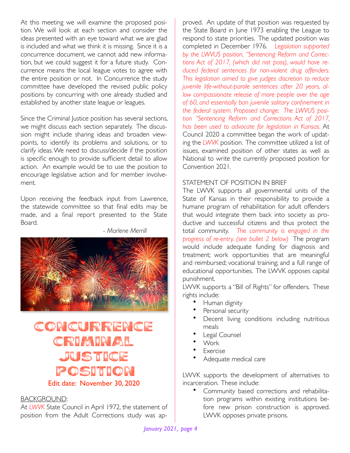At this meeting we will examine the proposed position. We will look at each section and consider the ideas presented with an eye toward what we are glad is included and what we think it is missing. Since it is a concurrence document, we cannot add new information, but we could suggest it for a future study. Concurrence means the local league votes to agree with the entire position or not. In Concurrence the study committee have developed the revised public policy positions by concurring with one already studied and established by another state league or leagues.

Since the Criminal Justice position has several sections, we might discuss each section separately. The discussion might include sharing ideas and broaden viewpoints, to identify its problems and solutions, or to clarify ideas. We need to discuss/decide if the position is specific enough to provide sufficient detail to allow action. An example would be to use the position to encourage legislative action and for member involvement.

Upon receiving the feedback input from Lawrence, the statewide committee so that final edits may be made, and a final report presented to the State Board.

- *Marlene Merrill*



# CONS CONSENTATION <u>(CRIMINAL</u> Justice of the Control of the Control of the Control of Ten <u>Mesin's Million Studies</u> Edit date: November 30, 2020

#### BACKGROUND:

At *LWVK* State Council in April 1972, the statement of position from the Adult Corrections study was ap-

proved. An update of that position was requested by the State Board in June 1973 enabling the League to respond to state priorities. The updated position was completed in December 1976. *Legislation supported by the LWVUS position, "Sentencing Reform and Corrections Act of 2017, (which did not pass), would have reduced federal sentences for non-violent drug offenders. This legislation aimed to give judges discretion to reduce juvenile life-without-parole sentences after 20 years, allow compassionate release of more people over the age of 60, and essentially ban juvenile solitary confinement in the federal system. Proposed change: The LWVUS position "Sentencing Reform and Corrections Act of 2017, has been used to advocate for legislation in Kansas.* At Council 2020 a committee began the work of updating the *LWVK* position. The committee utilized a list of issues, examined position of other states as well as National to write the currently proposed position for Convention 2021.

#### STATEMENT OF POSITION IN BRIEF

The LWVK supports all governmental units of the State of Kansas in their responsibility to provide a humane program of rehabilitation for adult offenders that would integrate them back into society as productive and successful citizens and thus protect the total community. *The community is engaged in the progress of re-entry. (see bullet 2 below)* The program would include adequate funding for diagnosis and treatment; work opportunities that are meaningful and reimbursed; vocational training; and a full range of educational opportunities. The LWVK opposes capital punishment.

LWVK supports a "Bill of Rights" for offenders. These rights include:

- Human dignity
- Personal security
- Decent living conditions including nutritious meals
- Legal Counsel
- Work
- **Exercise**
- Adequate medical care

LWVK supports the development of alternatives to incarceration. These include:

• Community based corrections and rehabilitation programs within existing institutions before new prison construction is approved. LWVK opposes private prisons.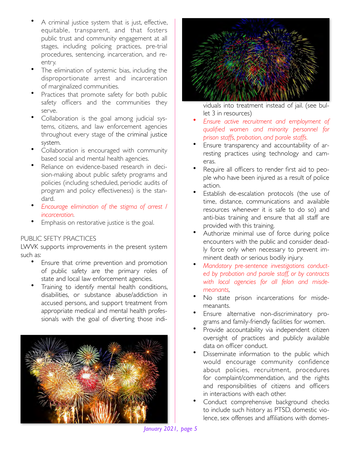- A criminal justice system that is just, effective, equitable, transparent, and that fosters public trust and community engagement at all stages, including policing practices, pre-trial procedures, sentencing, incarceration, and reentry.
- The elimination of systemic bias, including the disproportionate arrest and incarceration of marginalized communities.
- Practices that promote safety for both public safety officers and the communities they serve.
- Collaboration is the goal among judicial systems, citizens, and law enforcement agencies throughout every stage of the criminal justice system.
- Collaboration is encouraged with community based social and mental health agencies.
- Reliance on evidence-based research in decision-making about public safety programs and policies (including scheduled, periodic audits of program and policy effectiveness) is the standard.
- *Encourage elimination of the stigma of arrest / incarceration.*
- Emphasis on restorative justice is the goal.

#### PUBLIC SFETY PRACTICES

LWVK supports improvements in the present system such as:

- Ensure that crime prevention and promotion of public safety are the primary roles of state and local law enforcement agencies.
- Training to identify mental health conditions, disabilities, or substance abuse/addiction in accused persons, and support treatment from appropriate medical and mental health professionals with the goal of diverting those indi-





viduals into treatment instead of jail. (see bullet 3 in resources)

- *Ensure active recruitment and employment of qualified women and minority personnel for prison staffs, probation, and parole staffs.*
- Ensure transparency and accountability of arresting practices using technology and cameras.
- Require all officers to render first aid to people who have been injured as a result of police action.
- Establish de-escalation protocols (the use of time, distance, communications and available resources whenever it is safe to do so) and anti-bias training and ensure that all staff are provided with this training.
- Authorize minimal use of force during police encounters with the public and consider deadly force only when necessary to prevent imminent death or serious bodily injury.
- *Mandatory pre-sentence investigations conducted by probation and parole staff, or by contracts with local agencies for all felon and misdemeanants,*
- No state prison incarcerations for misdemeanants.
- Ensure alternative non-discriminatory programs and family-friendly facilities for women.
- Provide accountability via independent citizen oversight of practices and publicly available data on officer conduct.
- Disseminate information to the public which would encourage community confidence about policies, recruitment, procedures for complaint/commendation, and the rights and responsibilities of citizens and officers in interactions with each other.
- Conduct comprehensive background checks to include such history as PTSD, domestic violence, sex offenses and affiliations with domes-

*January 2021, page 5*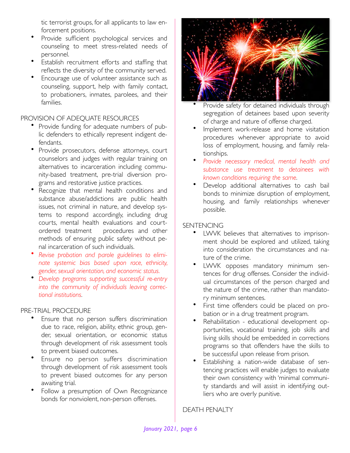tic terrorist groups, for all applicants to law enforcement positions.

- Provide sufficient psychological services and counseling to meet stress-related needs of personnel.
- Establish recruitment efforts and staffing that reflects the diversity of the community served.
- Encourage use of volunteer assistance such as counseling, support, help with family contact, to probationers, inmates, parolees, and their families.

#### PROVISION OF ADEQUATE RESOURCES

- Provide funding for adequate numbers of public defenders to ethically represent indigent defendants.
- Provide prosecutors, defense attorneys, court counselors and judges with regular training on alternatives to incarceration including community-based treatment, pre-trial diversion programs and restorative justice practices.
- Recognize that mental health conditions and substance abuse/addictions are public health issues, not criminal in nature, and develop systems to respond accordingly, including drug courts, mental health evaluations and courtordered treatment procedures and other methods of ensuring public safety without penal incarceration of such individuals.
- *Revise probation and parole guidelines to eliminate systemic bias based upon race, ethnicity, gender, sexual orientation, and economic status.*
- *Develop programs supporting successful re-entry into the community of individuals leaving correctional institutions.*

#### PRE-TRIAL PROCEDURE

- Ensure that no person suffers discrimination due to race, religion, ability, ethnic group, gender, sexual orientation, or economic status through development of risk assessment tools to prevent biased outcomes.
- Ensure no person suffers discrimination through development of risk assessment tools to prevent biased outcomes for any person awaiting trial.
- Follow a presumption of Own Recognizance bonds for nonviolent, non-person offenses.



- Provide safety for detained individuals through segregation of detainees based upon severity of charge and nature of offense charged.
- Implement work-release and home visitation procedures whenever appropriate to avoid loss of employment, housing, and family relationships.
- *Provide necessary medical, mental health and substance use treatment to detainees with known conditions requiring the same.*
- Develop additional alternatives to cash bail bonds to minimize disruption of employment, housing, and family relationships whenever possible.

#### **SENTENCING**

- LWVK believes that alternatives to imprisonment should be explored and utilized, taking into consideration the circumstances and nature of the crime.
- LWVK opposes mandatory minimum sentences for drug offenses. Consider the individual circumstances of the person charged and the nature of the crime, rather than mandatory minimum sentences.
- First time offenders could be placed on probation or in a drug treatment program.
- Rehabilitation educational development opportunities, vocational training, job skills and living skills should be embedded in corrections programs so that offenders have the skills to be successful upon release from prison.
- Establishing a nation-wide database of sentencing practices will enable judges to evaluate their own consistency with 'minimal community standards and will assist in identifying outliers who are overly punitive.

#### DEATH PENALTY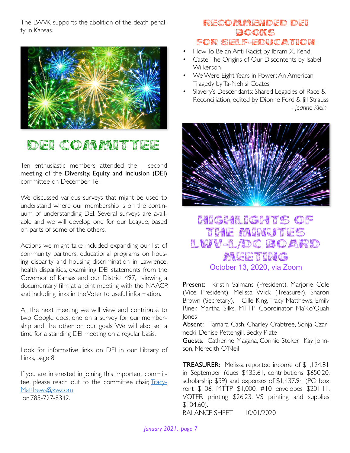The LWVK supports the abolition of the death penalty in Kansas.



## DEI COMMI

Ten enthusiastic members attended the second meeting of the Diversity, Equity and Inclusion (DEI) committee on December 16.

We discussed various surveys that might be used to understand where our membership is on the continuum of understanding DEI. Several surveys are available and we will develop one for our League, based on parts of some of the others.

Actions we might take included expanding our list of community partners, educational programs on housing disparity and housing discrimination in Lawrence, health disparities, examining DEI statements from the Governor of Kansas and our District 497, viewing a documentary film at a joint meeting with the NAACP, and including links in the Voter to useful information.

At the next meeting we will view and contribute to two Google docs, one on a survey for our membership and the other on our goals. We will also set a time for a standing DEI meeting on a regular basis.

Look for informative links on DEI in our Library of Links, page 8.

If you are interested in joining this important committee, please reach out to the committee chair, [Tracy](mailto:TracyMatthews@kw.com)-[Matthews@kw.com](mailto:TracyMatthews@kw.com) or 785-727-8342.

#### Recommended DEI Books for Self-Education

- How To Be an Anti-Racist by Ibram X. Kendi
- Caste: The Origins of Our Discontents by Isabel Wilkerson
- We Were Eight Years in Power: An American Tragedy by Ta-Nehisi Coates
- Slavery's Descendants: Shared Legacies of Race & Reconciliation, edited by Dionne Ford & Jill Strauss  *- Jeanne Klein*



### Highlights of the second second second second second second second second second second second second second second second second second second second second second second second second second second second second second s the Minutes of W KLEARY-KL/BDCC ARED AVENED Meeting C October 13, 2020, via Zoom

Present: Kristin Salmans (President), Marjorie Cole (Vice President), Melissa Wick (Treasurer), Sharon Brown (Secretary), Cille King, Tracy Matthews, Emily Riner, Martha Silks, MTTP Coordinator Ma'Ko'Quah Jones

Absent: Tamara Cash, Charley Crabtree, Sonja Czarnecki, Denise Pettengill, Becky Plate

Guests: Catherine Magana, Connie Stoker, Kay Johnson, Meredith O'Neil

TREASURER: Melissa reported income of \$1,124.81 in September (dues \$435.61, contributions \$650.20, scholarship \$39) and expenses of \$1,437.94 (PO box rent \$106, MTTP \$1,000, #10 envelopes \$201.11, VOTER printing \$26.23, VS printing and supplies \$104.60). BALANCE SHEET 10/01/2020

*January 2021, page 7*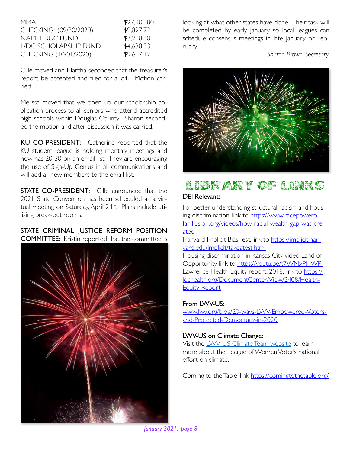| MMA                   | \$27,901.80 |
|-----------------------|-------------|
| CHECKING (09/30/2020) | \$9,827.72  |
| NAT'L EDUC FUND       | \$3,218.30  |
| LIDC SCHOLARSHIP FUND | \$4,638.33  |
| CHECKING (10/01/2020) | \$9.617.12  |

Cille moved and Martha seconded that the treasurer's report be accepted and filed for audit. Motion carried.

Melissa moved that we open up our scholarship application process to all seniors who attend accredited high schools within Douglas County. Sharon seconded the motion and after discussion it was carried.

KU CO-PRESIDENT: Catherine reported that the KU student league is holding monthly meetings and now has 20-30 on an email list. They are encouraging the use of Sign-Up Genius in all communications and will add all new members to the email list.

STATE CO-PRESIDENT: Cille announced that the 2021 State Convention has been scheduled as a virtual meeting on Saturday, April 24th. Plans include utilizing break-out rooms.

#### STATE CRIMINAL JUSTICE REFORM POSITION COMMITTEE: Kristin reported that the committee is



looking at what other states have done. Their task will be completed by early January so local leagues can schedule consensus meetings in late January or February.

*- Sharon Brown, Secretary*



### LIREN EN SIN LINES DEI Relevant:

For better understanding structural racism and housing discrimination, link to [https://www.racepowero](https://www.racepowerofanillusion.org/videos/how-racial-wealth-gap-was-created)[fanillusion.org/videos/how-racial-wealth-gap-was-cre](https://www.racepowerofanillusion.org/videos/how-racial-wealth-gap-was-created)[ated](https://www.racepowerofanillusion.org/videos/how-racial-wealth-gap-was-created)

Harvard Implicit Bias Test, link to [https://implicit.har](https://implicit.harvard.edu/implicit/takeatest.html)[vard.edu/implicit/takeatest.html](https://implicit.harvard.edu/implicit/takeatest.html)

Housing discrimination in Kansas City video Land of Opportunity, link to [https://youtu.be/t7WMxPI\\_WPI](https://youtu.be/t7WMxPI_WPI) [Lawrence Health Equity report, 2018, link to https://](https://ldchealth.org/DocumentCenter/View/2408/Health-Equity-Report) [ldchealth.org/DocumentCenter/View/2408/Health-](https://ldchealth.org/DocumentCenter/View/2408/Health-Equity-Report)[Equity-Report](https://ldchealth.org/DocumentCenter/View/2408/Health-Equity-Report)

#### From LWV-US:

[www.lwv.org/blog/20-ways-LWV-Empowered-Voters](http://www.lwv.org/blog/20-ways-LWV-Empowered-Voters-and-Protected-Democracy-in-2020)[and-Protected-Democracy-in-2020](http://www.lwv.org/blog/20-ways-LWV-Empowered-Voters-and-Protected-Democracy-in-2020)

#### LWV-US on Climate Change:

Visit the [LWV US Climate Team website](https://lwvc.org/lwv-us-climate-teams) to learn more about the League of Women Voter's national effort on climate.

Coming to the Table, link <https://comingtothetable.org/>

*January 2021, page 8*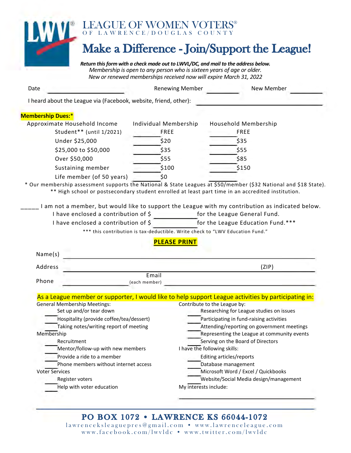

#### PO BOX 1072 • LAWRENCE KS 66044-1072 lawr enceksleaguepres@gmail.com • www .lawrenceleague.com www.facebook.com/lwvldc • www.twitter.com/lwvldc